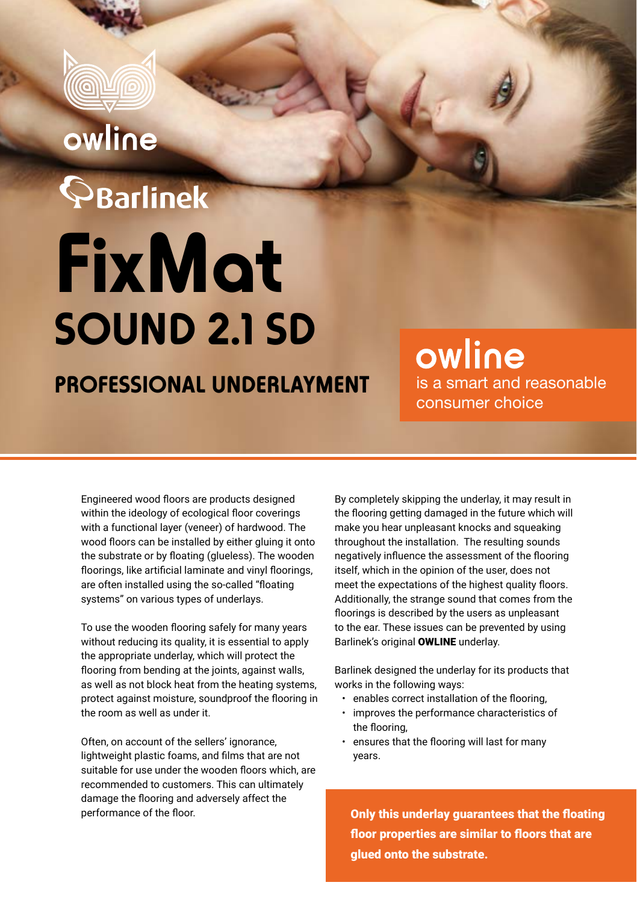

## owline

# $\mathbf{\mathbb{S}}$ Barlinek **FixMat SOUND 2.1 SD**

### **PROFESSIONAL UNDERLAYMENT**

owline is a smart and reasonable consumer choice

Engineered wood floors are products designed within the ideology of ecological floor coverings with a functional layer (veneer) of hardwood. The wood floors can be installed by either gluing it onto the substrate or by floating (glueless). The wooden floorings, like artificial laminate and vinyl floorings, are often installed using the so-called "floating systems" on various types of underlays.

To use the wooden flooring safely for many years without reducing its quality, it is essential to apply the appropriate underlay, which will protect the flooring from bending at the joints, against walls, as well as not block heat from the heating systems, protect against moisture, soundproof the flooring in the room as well as under it.

Often, on account of the sellers' ignorance, lightweight plastic foams, and films that are not suitable for use under the wooden floors which, are recommended to customers. This can ultimately damage the flooring and adversely affect the performance of the floor.

By completely skipping the underlay, it may result in the flooring getting damaged in the future which will make you hear unpleasant knocks and squeaking throughout the installation. The resulting sounds negatively influence the assessment of the flooring itself, which in the opinion of the user, does not meet the expectations of the highest quality floors. Additionally, the strange sound that comes from the floorings is described by the users as unpleasant to the ear. These issues can be prevented by using Barlinek's original OWLINE underlay.

Barlinek designed the underlay for its products that works in the following ways:

- enables correct installation of the flooring,
- improves the performance characteristics of the flooring,
- ensures that the flooring will last for many years.

Only this underlay guarantees that the floating floor properties are similar to floors that are glued onto the substrate.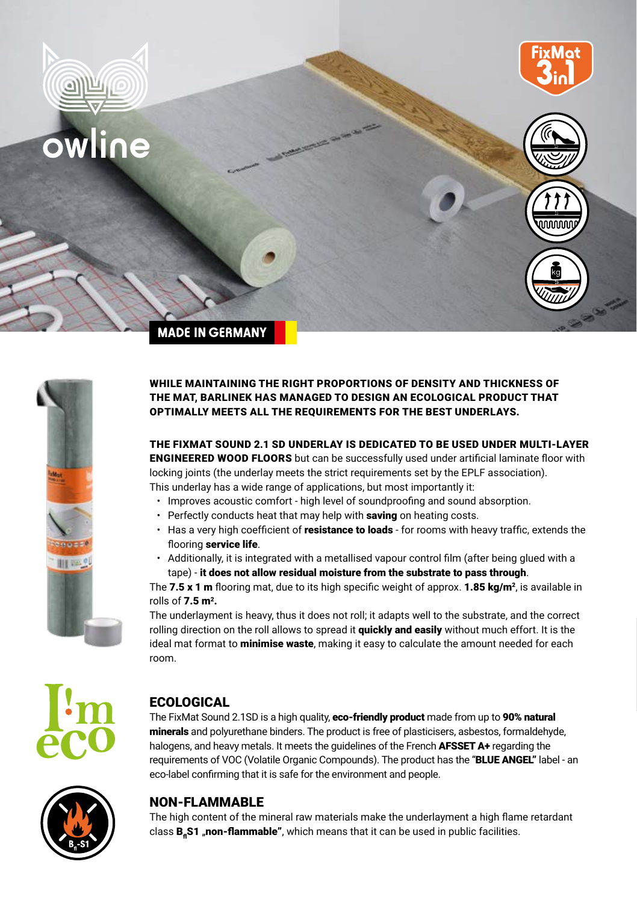



#### WHILE MAINTAINING THE RIGHT PROPORTIONS OF DENSITY AND THICKNESS OF THE MAT, BARLINEK HAS MANAGED TO DESIGN AN ECOLOGICAL PRODUCT THAT OPTIMALLY MEETS ALL THE REQUIREMENTS FOR THE BEST UNDERLAYS.

THE FIXMAT SOUND 2.1 SD UNDERLAY IS DEDICATED TO BE USED UNDER MULTI-LAYER ENGINEERED WOOD FLOORS but can be successfully used under artificial laminate floor with locking joints (the underlay meets the strict requirements set by the EPLF association). This underlay has a wide range of applications, but most importantly it:

- Improves acoustic comfort high level of soundproofing and sound absorption.
- Perfectly conducts heat that may help with saving on heating costs.
- Has a very high coefficient of resistance to loads for rooms with heavy traffic, extends the flooring service life.
- Additionally, it is integrated with a metallised vapour control film (after being glued with a tape) - it does not allow residual moisture from the substrate to pass through.

The 7.5 x 1 m flooring mat, due to its high specific weight of approx. 1.85  $\text{ka/m}^2$ , is available in rolls of  $7.5 \text{ m}^2$ .

The underlayment is heavy, thus it does not roll; it adapts well to the substrate, and the correct rolling direction on the roll allows to spread it **quickly and easily** without much effort. It is the ideal mat format to **minimise waste**, making it easy to calculate the amount needed for each room.



#### **ECOLOGICAL**

The FixMat Sound 2.1SD is a high quality, eco-friendly product made from up to 90% natural minerals and polyurethane binders. The product is free of plasticisers, asbestos, formaldehyde, halogens, and heavy metals. It meets the quidelines of the French **AFSSET A+** regarding the requirements of VOC (Volatile Organic Compounds). The product has the "BLUE ANGEL" label - an eco-label confirming that it is safe for the environment and people.



#### NON-FLAMMABLE

The high content of the mineral raw materials make the underlayment a high flame retardant class **B<sub>a</sub>S1 "non-flammable"**, which means that it can be used in public facilities.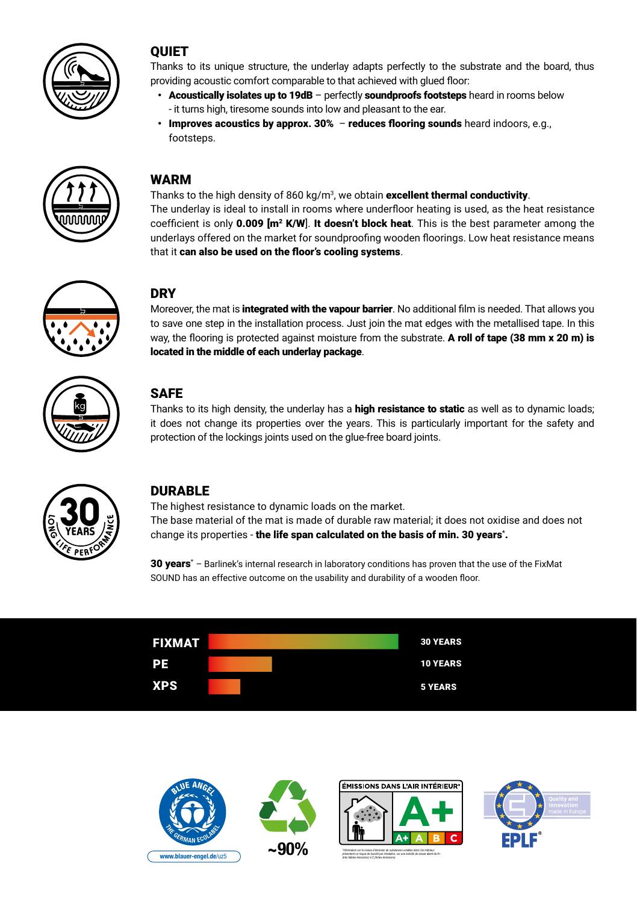

#### **OUIET**

Thanks to its unique structure, the underlay adapts perfectly to the substrate and the board, thus providing acoustic comfort comparable to that achieved with glued floor:

- Acoustically isolates up to 19dB perfectly soundproofs footsteps heard in rooms below - it turns high, tiresome sounds into low and pleasant to the ear.
- $\cdot$  Improves acoustics by approx. 30% reduces flooring sounds heard indoors, e.g., footsteps.



#### WARM

Thanks to the high density of 860 kg/m<sup>3</sup>, we obtain **excellent thermal conductivity**. The underlay is ideal to install in rooms where underfloor heating is used, as the heat resistance coefficient is only 0.009 [m<sup>2</sup> K/W]. It doesn't block heat. This is the best parameter among the underlays offered on the market for soundproofing wooden floorings. Low heat resistance means that it can also be used on the floor's cooling systems.



#### **DRY**

Moreover, the mat is integrated with the vapour barrier. No additional film is needed. That allows you to save one step in the installation process. Just join the mat edges with the metallised tape. In this way, the flooring is protected against moisture from the substrate. A roll of tape (38 mm x 20 m) is located in the middle of each underlay package.



#### **SAFE**

Thanks to its high density, the underlay has a **high resistance to static** as well as to dynamic loads; it does not change its properties over the years. This is particularly important for the safety and protection of the lockings joints used on the glue-free board joints.



#### **DURABLE**

The highest resistance to dynamic loads on the market. The base material of the mat is made of durable raw material; it does not oxidise and does not change its properties - **the life span calculated on the basis of min. 30 years**\*.

30 years<sup>\*</sup> – Barlinek's internal research in laboratory conditions has proven that the use of the FixMat SOUND has an effective outcome on the usability and durability of a wooden floor.